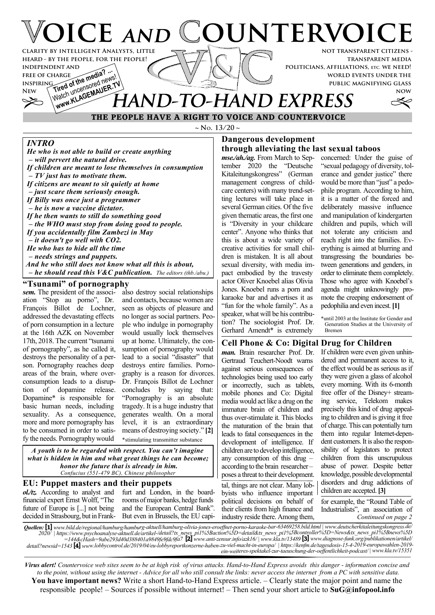# **VOICE AND COUNTERVOIC not transparent citizens clarity by intelligent Analysts, little**

**transparent media politicians, affiliations, etc. we need! world events under the public magnifying glass**

**now**

# **INDEPENDENT AND<br>FREE OF CHARGE<br>INSPIRING and of the media?** FREE OF CHARGE **the media?** ... Watch uncensured News<sup>1</sup> **HAND-TO-HAND EXPRESS**

 **THE PEOPLE HAVE A RIGHT TO VOICE AND COUNTERVOICE**

**~ No. 13/20 ~**

## *INTRO*

**free of charge inspiring**

*He who is not able to build or create anything*

**heard - by the people, for the people!**

 *– will pervert the natural drive. If children are meant to lose themselves in consumption – TV just has to motivate them. If citizens are meant to sit quietly at home – just scare them seriously enough. If Billy was once just a programmer – he is now a vaccine dictator. If he then wants to still do something good – the WHO must stop from doing good to people. If you accidentally film Zambezi in May – it doesn't go well with CO2. He who has to hide all the time – needs strings and puppets. And he who still does not know what all this is about,*

 *– he should read this V&C publication. The editors (thb./abu.)*

## **"Tsunami" of pornography**

*sem.* The president of the association "Stop au porno", Dr. François Billot de Lochner, addressed the devastating effects of porn consumption in a lecture at the 16th AZK on November 17th, 2018. The current "tsunami of pornography", as he called it, destroys the personality of a person. Pornography reaches deep areas of the brain, where overconsumption leads to a disruption of dopamine release. Dopamine\* is responsible for basic human needs, including sexuality. As a consequence, more and more pornography has to be consumed in order to satisfy the needs. Pornography would

also destroy social relationships and contacts, because women are seen as objects of pleasure and no longer as social partners. People who indulge in pornography would usually lock themselves up at home. Ultimately, the consumption of pornography would lead to a social "disaster" that destroys entire families. Pornography is a reason for divorces. Dr. François Billot de Lochner concludes by saying that: "Pornography is an absolute tragedy. It is a huge industry that generates wealth. On a moral level, it is an extraordinary means of destroying society." **[2]** \*stimulating transmitter substance

*A youth is to be regarded with respect. You can't imagine what is hidden in him and what great things he can become; honor the future that is already in him. Confucius (551-479 BC), Chinese philosopher*

#### **EU: Puppet masters and their puppets** *ol./tz.* According to analyst and

financial expert Ernst Wolff, "The future of Europe is [...] not being decided in Strasbourg, but in Frank-

furt and London, in the boardrooms of major banks, hedge funds and the European Central Bank". But even in Brussels, the EU capi-

### **Dangerous development through alleviating the last sexual taboos**

*mse./ah./ag.* From March to September 2020 the "Deutsche Kitaleitungskongress" (German management congress of childcare centers) with many trend-setting lectures will take place in several German cities. Of the five given thematic areas, the first one is "Diversity in your childcare center". Anyone who thinks that this is about a wide variety of creative activities for small children is mistaken. It is all about sexual diversity, with media impact embodied by the travesty actor Oliver Knoebel alias Olivia Jones. Knoebel runs a porn and karaoke bar and advertises it as "fun for the whole family". As a speaker, what will be his contribution? The sociologist Prof. Dr. Gerhard Amendt\* is extremely

concerned: Under the guise of "sexual pedagogy of diversity, tolerance and gender justice" there would be more than "just" a pedophile program. According to him, it is a matter of the forced and deliberately massive influence and manipulation of kindergarten children and pupils, which will not tolerate any criticism and reach right into the families. Everything is aimed at blurring and transgressing the boundaries between generations and genders, in order to eliminate them completely. Those who agree with Knoebel's agenda might unknowingly promote the creeping endorsement of pedophilia and even incest. **[1]**

\*until 2003 at the Institute for Gender and Generation Studies at the University of Bremen

## **Cell Phone & Co: Digital Drug for Children**

*man.* Brain researcher Prof. Dr. Gertraud Teuchert-Noodt warns against serious consequences of technologies being used too early or incorrectly, such as tablets, mobile phones and Co: Digital media would act like a drug on the immature brain of children and thus over-stimulate it. This blocks the maturation of the brain that leads to fatal consequences in the development of intelligence. If children are to develop intelligence, any consumption of this drug – according to the brain researcher – poses a threat to their development.

tal, things are not clear. Many lobbyists who influence important political decisions on behalf of their clients from high finance and industry reside there. Among them,

If children were even given unhindered and permanent access to it, the effect would be as serious as if they were given a glass of alcohol every morning. With its 6-month free offer of the Disney+ streaming service, Telekom makes precisely this kind of drug appealing to children and is giving it free of charge. This can potentially turn them into regular Internet-dependent customers. It is also the responsibility of legislators to protect children from this unscrupulous abuse of power. Despite better knowledge, possible developmental disorders and drug addictions of children are accepted. **[3]**

*Continued on page 2* for example, the "Round Table of Industrialists", an association of

*Quellen:* **[1]** *www.bild.de/regional/hamburg/hamburg-aktuell/hamburg-olivia-jones-eroeffnet-porno-karaoke-bar-63469258.bild.html | www.deutscherkitaleitungskongress.de/ 2020/ | https://www.psychoanalyse-aktuell.de/artikel-/detail?tx\_news\_pi1%5Baction%5D=detail&tx\_news\_pi1%5Bcontroller%5D=News&tx\_news\_pi1%5Bnews%5D =144&cHash=9abe293d40d388401a9849fe9fdc9fa7* **[2]** *www.anti-zensur.info/azk16/ | www.kla.tv/13489* **[3]** *www.diagnose-funk.org/publikationen/artikel/ detail?newsid=1543* **[4]** *www.lobbycontrol.de/2019/04/eu-lobbyreportkonzerne-haben-zu-viel-macht-in-europa/ | https://kenfm.de/tagesdosis-15-4-2019-europawahlen-2019 ein-weiteres-spektakel-zur-taeuschung-der-oeffentlichkeit-podcast/ | www.kla.tv/15351*

*Virus alert! Countervoice web sites seem to be at high risk of virus attacks. Hand-to-Hand Express avoids this danger - information concise and to the point, without using the internet - Advice for all who still consult the links: never access the internet from a PC with sensitive data.* **You have important news?** Write a short Hand-to-Hand Express article. – Clearly state the major point and name the responsible people! – Sources if possible without internet! – Then send your short article to **SuG@infopool.info**